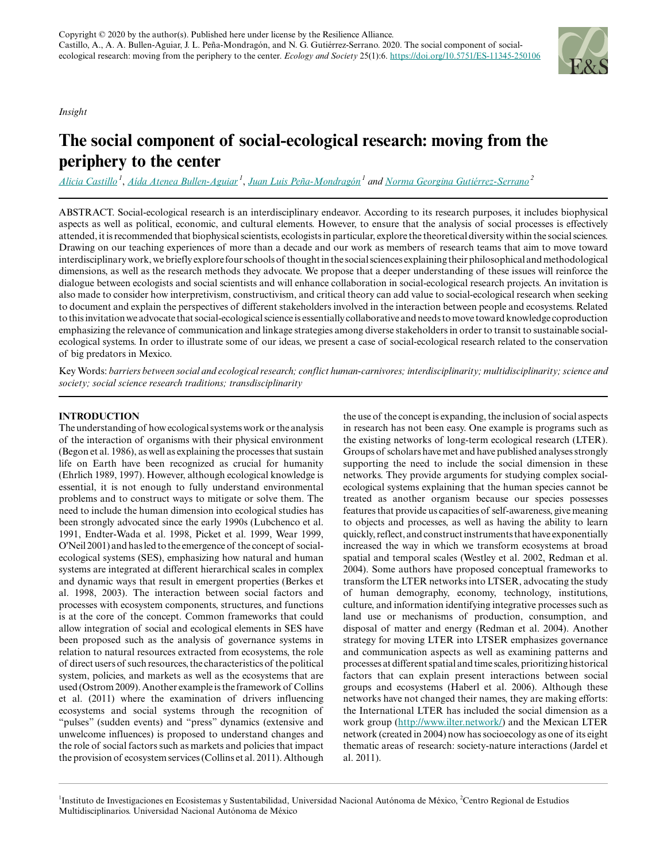## *Insight*



# **The social component of social-ecological research: moving from the periphery to the center**

*[Alicia Castillo](mailto:castillo@iies.unam.mx)<sup>1</sup>* , *[Aída Atenea Bullen-Aguiar](mailto:atenea@cieco.unam.mx)<sup>1</sup>* , *[Juan Luis Peña-Mondragón](mailto:jlpena@cieco.unam.mx)<sup>1</sup> and [Norma Georgina Gutiérrez-Serrano](mailto:georgtz@crim.unam.mx)<sup>2</sup>*

ABSTRACT. Social-ecological research is an interdisciplinary endeavor. According to its research purposes, it includes biophysical aspects as well as political, economic, and cultural elements. However, to ensure that the analysis of social processes is effectively attended, it is recommended that biophysical scientists, ecologists in particular, explore the theoretical diversity within the social sciences. Drawing on our teaching experiences of more than a decade and our work as members of research teams that aim to move toward interdisciplinary work, we briefly explore four schools of thought in the social sciences explaining their philosophical and methodological dimensions, as well as the research methods they advocate. We propose that a deeper understanding of these issues will reinforce the dialogue between ecologists and social scientists and will enhance collaboration in social-ecological research projects. An invitation is also made to consider how interpretivism, constructivism, and critical theory can add value to social-ecological research when seeking to document and explain the perspectives of different stakeholders involved in the interaction between people and ecosystems. Related to this invitation we advocate that social-ecological science is essentially collaborative and needs to move toward knowledge coproduction emphasizing the relevance of communication and linkage strategies among diverse stakeholders in order to transit to sustainable socialecological systems. In order to illustrate some of our ideas, we present a case of social-ecological research related to the conservation of big predators in Mexico.

Key Words: *barriers between social and ecological research; conflict human-carnivores; interdisciplinarity; multidisciplinarity; science and society; social science research traditions; transdisciplinarity*

## **INTRODUCTION**

The understanding of how ecological systems work or the analysis of the interaction of organisms with their physical environment (Begon et al. 1986), as well as explaining the processes that sustain life on Earth have been recognized as crucial for humanity (Ehrlich 1989, 1997). However, although ecological knowledge is essential, it is not enough to fully understand environmental problems and to construct ways to mitigate or solve them. The need to include the human dimension into ecological studies has been strongly advocated since the early 1990s (Lubchenco et al. 1991, Endter-Wada et al. 1998, Picket et al. 1999, Wear 1999, O'Neil 2001) and has led to the emergence of the concept of socialecological systems (SES), emphasizing how natural and human systems are integrated at different hierarchical scales in complex and dynamic ways that result in emergent properties (Berkes et al. 1998, 2003). The interaction between social factors and processes with ecosystem components, structures, and functions is at the core of the concept. Common frameworks that could allow integration of social and ecological elements in SES have been proposed such as the analysis of governance systems in relation to natural resources extracted from ecosystems, the role of direct users of such resources, the characteristics of the political system, policies, and markets as well as the ecosystems that are used (Ostrom 2009). Another example is the framework of Collins et al. (2011) where the examination of drivers influencing ecosystems and social systems through the recognition of "pulses" (sudden events) and "press" dynamics (extensive and unwelcome influences) is proposed to understand changes and the role of social factors such as markets and policies that impact the provision of ecosystem services (Collins et al. 2011). Although

the use of the concept is expanding, the inclusion of social aspects in research has not been easy. One example is programs such as the existing networks of long-term ecological research (LTER). Groups of scholars have met and have published analyses strongly supporting the need to include the social dimension in these networks. They provide arguments for studying complex socialecological systems explaining that the human species cannot be treated as another organism because our species possesses features that provide us capacities of self-awareness, give meaning to objects and processes, as well as having the ability to learn quickly, reflect, and construct instruments that have exponentially increased the way in which we transform ecosystems at broad spatial and temporal scales (Westley et al. 2002, Redman et al. 2004). Some authors have proposed conceptual frameworks to transform the LTER networks into LTSER, advocating the study of human demography, economy, technology, institutions, culture, and information identifying integrative processes such as land use or mechanisms of production, consumption, and disposal of matter and energy (Redman et al. 2004). Another strategy for moving LTER into LTSER emphasizes governance and communication aspects as well as examining patterns and processes at different spatial and time scales, prioritizing historical factors that can explain present interactions between social groups and ecosystems (Haberl et al. 2006). Although these networks have not changed their names, they are making efforts: the International LTER has included the social dimension as a work group [\(http://www.ilter.network/\)](http://www.ilter.network/) and the Mexican LTER network (created in 2004) now has socioecology as one of its eight thematic areas of research: society-nature interactions (Jardel et al. 2011).

<sup>1</sup>Instituto de Investigaciones en Ecosistemas y Sustentabilidad, Universidad Nacional Autónoma de México, <sup>2</sup>Centro Regional de Estudios Multidisciplinarios. Universidad Nacional Autónoma de México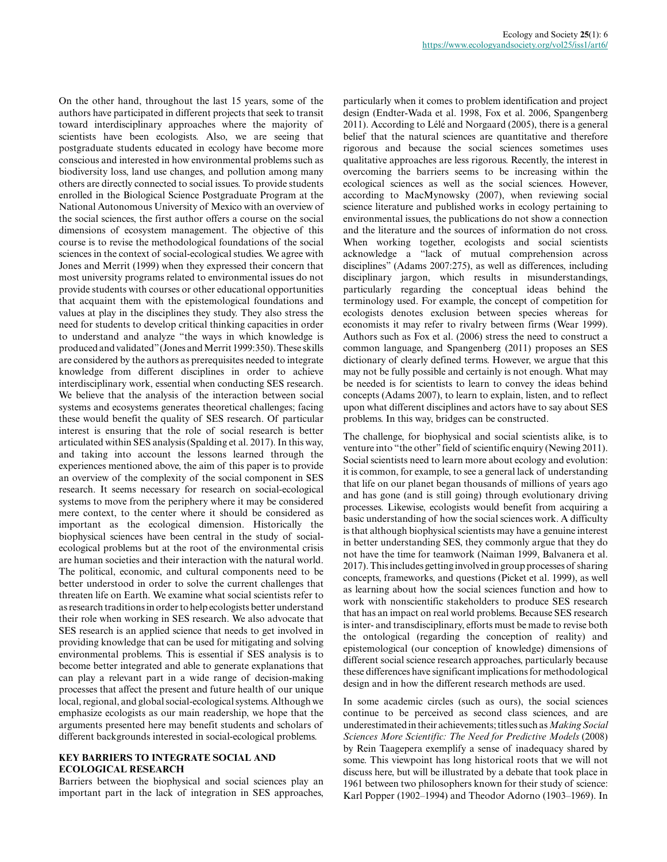On the other hand, throughout the last 15 years, some of the authors have participated in different projects that seek to transit toward interdisciplinary approaches where the majority of scientists have been ecologists. Also, we are seeing that postgraduate students educated in ecology have become more conscious and interested in how environmental problems such as biodiversity loss, land use changes, and pollution among many others are directly connected to social issues. To provide students enrolled in the Biological Science Postgraduate Program at the National Autonomous University of Mexico with an overview of the social sciences, the first author offers a course on the social dimensions of ecosystem management. The objective of this course is to revise the methodological foundations of the social sciences in the context of social-ecological studies. We agree with Jones and Merrit (1999) when they expressed their concern that most university programs related to environmental issues do not provide students with courses or other educational opportunities that acquaint them with the epistemological foundations and values at play in the disciplines they study. They also stress the need for students to develop critical thinking capacities in order to understand and analyze "the ways in which knowledge is produced and validated" (Jones and Merrit 1999:350). These skills are considered by the authors as prerequisites needed to integrate knowledge from different disciplines in order to achieve interdisciplinary work, essential when conducting SES research. We believe that the analysis of the interaction between social systems and ecosystems generates theoretical challenges; facing these would benefit the quality of SES research. Of particular interest is ensuring that the role of social research is better articulated within SES analysis (Spalding et al. 2017). In this way, and taking into account the lessons learned through the experiences mentioned above, the aim of this paper is to provide an overview of the complexity of the social component in SES research. It seems necessary for research on social-ecological systems to move from the periphery where it may be considered mere context, to the center where it should be considered as important as the ecological dimension. Historically the biophysical sciences have been central in the study of socialecological problems but at the root of the environmental crisis are human societies and their interaction with the natural world. The political, economic, and cultural components need to be better understood in order to solve the current challenges that threaten life on Earth. We examine what social scientists refer to as research traditions in order to help ecologists better understand their role when working in SES research. We also advocate that SES research is an applied science that needs to get involved in providing knowledge that can be used for mitigating and solving environmental problems. This is essential if SES analysis is to become better integrated and able to generate explanations that can play a relevant part in a wide range of decision-making processes that affect the present and future health of our unique local, regional, and global social-ecological systems. Although we emphasize ecologists as our main readership, we hope that the arguments presented here may benefit students and scholars of different backgrounds interested in social-ecological problems.

#### **KEY BARRIERS TO INTEGRATE SOCIAL AND ECOLOGICAL RESEARCH**

Barriers between the biophysical and social sciences play an important part in the lack of integration in SES approaches, particularly when it comes to problem identification and project design (Endter-Wada et al. 1998, Fox et al. 2006, Spangenberg 2011). According to Lélé and Norgaard (2005), there is a general belief that the natural sciences are quantitative and therefore rigorous and because the social sciences sometimes uses qualitative approaches are less rigorous. Recently, the interest in overcoming the barriers seems to be increasing within the ecological sciences as well as the social sciences. However, according to MacMynowsky (2007), when reviewing social science literature and published works in ecology pertaining to environmental issues, the publications do not show a connection and the literature and the sources of information do not cross. When working together, ecologists and social scientists acknowledge a "lack of mutual comprehension across disciplines" (Adams 2007:275), as well as differences, including disciplinary jargon, which results in misunderstandings, particularly regarding the conceptual ideas behind the terminology used. For example, the concept of competition for ecologists denotes exclusion between species whereas for economists it may refer to rivalry between firms (Wear 1999). Authors such as Fox et al. (2006) stress the need to construct a common language, and Spangenberg (2011) proposes an SES dictionary of clearly defined terms. However, we argue that this may not be fully possible and certainly is not enough. What may be needed is for scientists to learn to convey the ideas behind concepts (Adams 2007), to learn to explain, listen, and to reflect upon what different disciplines and actors have to say about SES problems. In this way, bridges can be constructed.

The challenge, for biophysical and social scientists alike, is to venture into "the other" field of scientific enquiry (Newing 2011). Social scientists need to learn more about ecology and evolution: it is common, for example, to see a general lack of understanding that life on our planet began thousands of millions of years ago and has gone (and is still going) through evolutionary driving processes. Likewise, ecologists would benefit from acquiring a basic understanding of how the social sciences work. A difficulty is that although biophysical scientists may have a genuine interest in better understanding SES, they commonly argue that they do not have the time for teamwork (Naiman 1999, Balvanera et al. 2017). This includes getting involved in group processes of sharing concepts, frameworks, and questions (Picket et al. 1999), as well as learning about how the social sciences function and how to work with nonscientific stakeholders to produce SES research that has an impact on real world problems. Because SES research is inter- and transdisciplinary, efforts must be made to revise both the ontological (regarding the conception of reality) and epistemological (our conception of knowledge) dimensions of different social science research approaches, particularly because these differences have significant implications for methodological design and in how the different research methods are used.

In some academic circles (such as ours), the social sciences continue to be perceived as second class sciences, and are underestimated in their achievements; titles such as *Making Social Sciences More Scientific: The Need for Predictive Models* (2008) by Rein Taagepera exemplify a sense of inadequacy shared by some. This viewpoint has long historical roots that we will not discuss here, but will be illustrated by a debate that took place in 1961 between two philosophers known for their study of science: Karl Popper (1902–1994) and Theodor Adorno (1903–1969). In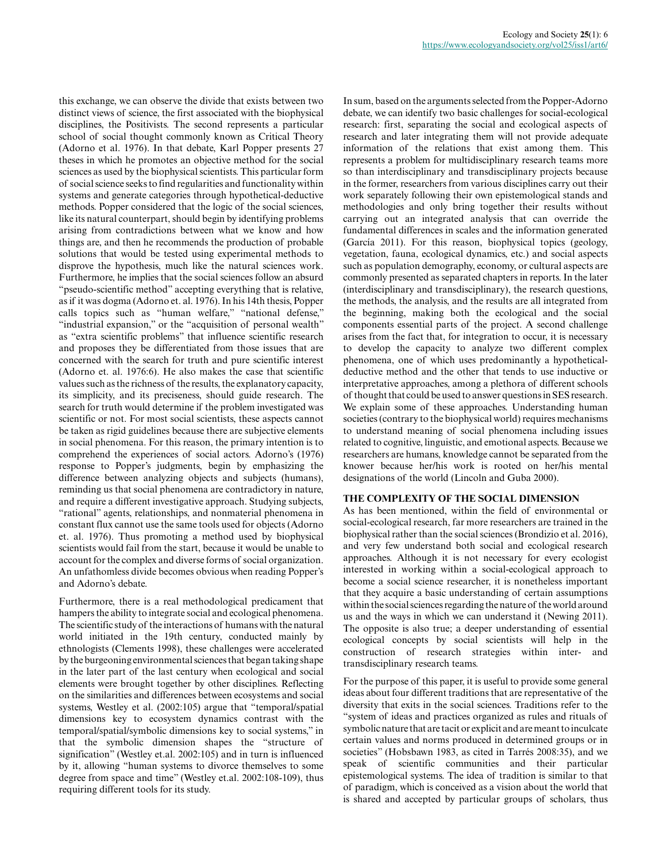this exchange, we can observe the divide that exists between two distinct views of science, the first associated with the biophysical disciplines, the Positivists. The second represents a particular school of social thought commonly known as Critical Theory (Adorno et al. 1976). In that debate, Karl Popper presents 27 theses in which he promotes an objective method for the social sciences as used by the biophysical scientists. This particular form of social science seeks to find regularities and functionality within systems and generate categories through hypothetical-deductive methods. Popper considered that the logic of the social sciences, like its natural counterpart, should begin by identifying problems arising from contradictions between what we know and how things are, and then he recommends the production of probable solutions that would be tested using experimental methods to disprove the hypothesis, much like the natural sciences work. Furthermore, he implies that the social sciences follow an absurd "pseudo-scientific method" accepting everything that is relative, as if it was dogma (Adorno et. al. 1976). In his 14th thesis, Popper calls topics such as "human welfare," "national defense," "industrial expansion," or the "acquisition of personal wealth" as "extra scientific problems" that influence scientific research and proposes they be differentiated from those issues that are concerned with the search for truth and pure scientific interest (Adorno et. al. 1976:6). He also makes the case that scientific values such as the richness of the results, the explanatory capacity, its simplicity, and its preciseness, should guide research. The search for truth would determine if the problem investigated was scientific or not. For most social scientists, these aspects cannot be taken as rigid guidelines because there are subjective elements in social phenomena. For this reason, the primary intention is to comprehend the experiences of social actors. Adorno's (1976) response to Popper's judgments, begin by emphasizing the difference between analyzing objects and subjects (humans), reminding us that social phenomena are contradictory in nature, and require a different investigative approach. Studying subjects, "rational" agents, relationships, and nonmaterial phenomena in constant flux cannot use the same tools used for objects (Adorno et. al. 1976). Thus promoting a method used by biophysical scientists would fail from the start, because it would be unable to account for the complex and diverse forms of social organization. An unfathomless divide becomes obvious when reading Popper's and Adorno's debate.

Furthermore, there is a real methodological predicament that hampers the ability to integrate social and ecological phenomena. The scientific study of the interactions of humans with the natural world initiated in the 19th century, conducted mainly by ethnologists (Clements 1998), these challenges were accelerated by the burgeoning environmental sciences that began taking shape in the later part of the last century when ecological and social elements were brought together by other disciplines. Reflecting on the similarities and differences between ecosystems and social systems, Westley et al. (2002:105) argue that "temporal/spatial dimensions key to ecosystem dynamics contrast with the temporal/spatial/symbolic dimensions key to social systems," in that the symbolic dimension shapes the "structure of signification" (Westley et.al. 2002:105) and in turn is influenced by it, allowing "human systems to divorce themselves to some degree from space and time" (Westley et.al. 2002:108-109), thus requiring different tools for its study.

In sum, based on the arguments selected from the Popper-Adorno debate, we can identify two basic challenges for social-ecological research: first, separating the social and ecological aspects of research and later integrating them will not provide adequate information of the relations that exist among them. This represents a problem for multidisciplinary research teams more so than interdisciplinary and transdisciplinary projects because in the former, researchers from various disciplines carry out their work separately following their own epistemological stands and methodologies and only bring together their results without carrying out an integrated analysis that can override the fundamental differences in scales and the information generated (García 2011). For this reason, biophysical topics (geology, vegetation, fauna, ecological dynamics, etc.) and social aspects such as population demography, economy, or cultural aspects are commonly presented as separated chapters in reports. In the later (interdisciplinary and transdisciplinary), the research questions, the methods, the analysis, and the results are all integrated from the beginning, making both the ecological and the social components essential parts of the project. A second challenge arises from the fact that, for integration to occur, it is necessary to develop the capacity to analyze two different complex phenomena, one of which uses predominantly a hypotheticaldeductive method and the other that tends to use inductive or interpretative approaches, among a plethora of different schools of thought that could be used to answer questions in SES research. We explain some of these approaches. Understanding human societies (contrary to the biophysical world) requires mechanisms to understand meaning of social phenomena including issues related to cognitive, linguistic, and emotional aspects. Because we researchers are humans, knowledge cannot be separated from the knower because her/his work is rooted on her/his mental designations of the world (Lincoln and Guba 2000).

## **THE COMPLEXITY OF THE SOCIAL DIMENSION**

As has been mentioned, within the field of environmental or social-ecological research, far more researchers are trained in the biophysical rather than the social sciences (Brondizio et al. 2016), and very few understand both social and ecological research approaches. Although it is not necessary for every ecologist interested in working within a social-ecological approach to become a social science researcher, it is nonetheless important that they acquire a basic understanding of certain assumptions within the social sciences regarding the nature of the world around us and the ways in which we can understand it (Newing 2011). The opposite is also true; a deeper understanding of essential ecological concepts by social scientists will help in the construction of research strategies within inter- and transdisciplinary research teams.

For the purpose of this paper, it is useful to provide some general ideas about four different traditions that are representative of the diversity that exits in the social sciences. Traditions refer to the "system of ideas and practices organized as rules and rituals of symbolic nature that are tacit or explicit and are meant to inculcate certain values and norms produced in determined groups or in societies" (Hobsbawn 1983, as cited in Tarrés 2008:35), and we speak of scientific communities and their particular epistemological systems. The idea of tradition is similar to that of paradigm, which is conceived as a vision about the world that is shared and accepted by particular groups of scholars, thus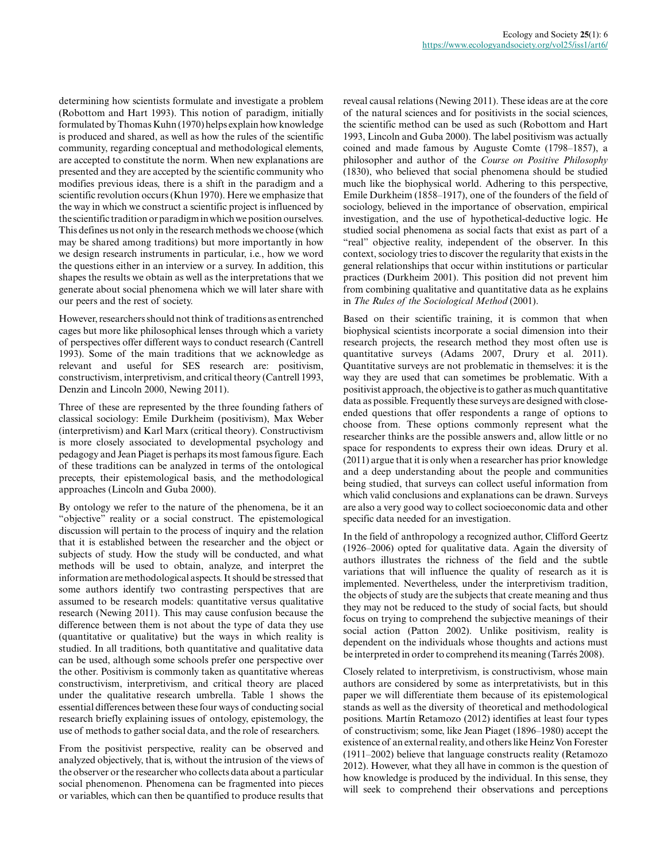determining how scientists formulate and investigate a problem (Robottom and Hart 1993). This notion of paradigm, initially formulated by Thomas Kuhn (1970) helps explain how knowledge is produced and shared, as well as how the rules of the scientific community, regarding conceptual and methodological elements, are accepted to constitute the norm. When new explanations are presented and they are accepted by the scientific community who modifies previous ideas, there is a shift in the paradigm and a scientific revolution occurs (Khun 1970). Here we emphasize that the way in which we construct a scientific project is influenced by the scientific tradition or paradigm in which we position ourselves. This defines us not only in the research methods we choose (which may be shared among traditions) but more importantly in how we design research instruments in particular, i.e., how we word the questions either in an interview or a survey. In addition, this shapes the results we obtain as well as the interpretations that we generate about social phenomena which we will later share with our peers and the rest of society.

However, researchers should not think of traditions as entrenched cages but more like philosophical lenses through which a variety of perspectives offer different ways to conduct research (Cantrell 1993). Some of the main traditions that we acknowledge as relevant and useful for SES research are: positivism, constructivism, interpretivism, and critical theory (Cantrell 1993, Denzin and Lincoln 2000, Newing 2011).

Three of these are represented by the three founding fathers of classical sociology: Emile Durkheim (positivism), Max Weber (interpretivism) and Karl Marx (critical theory). Constructivism is more closely associated to developmental psychology and pedagogy and Jean Piaget is perhaps its most famous figure. Each of these traditions can be analyzed in terms of the ontological precepts, their epistemological basis, and the methodological approaches (Lincoln and Guba 2000).

By ontology we refer to the nature of the phenomena, be it an "objective" reality or a social construct. The epistemological discussion will pertain to the process of inquiry and the relation that it is established between the researcher and the object or subjects of study. How the study will be conducted, and what methods will be used to obtain, analyze, and interpret the information are methodological aspects. It should be stressed that some authors identify two contrasting perspectives that are assumed to be research models: quantitative versus qualitative research (Newing 2011). This may cause confusion because the difference between them is not about the type of data they use (quantitative or qualitative) but the ways in which reality is studied. In all traditions, both quantitative and qualitative data can be used, although some schools prefer one perspective over the other. Positivism is commonly taken as quantitative whereas constructivism, interpretivism, and critical theory are placed under the qualitative research umbrella. Table 1 shows the essential differences between these four ways of conducting social research briefly explaining issues of ontology, epistemology, the use of methods to gather social data, and the role of researchers.

From the positivist perspective, reality can be observed and analyzed objectively, that is, without the intrusion of the views of the observer or the researcher who collects data about a particular social phenomenon. Phenomena can be fragmented into pieces or variables, which can then be quantified to produce results that

reveal causal relations (Newing 2011). These ideas are at the core of the natural sciences and for positivists in the social sciences, the scientific method can be used as such (Robottom and Hart 1993, Lincoln and Guba 2000). The label positivism was actually coined and made famous by Auguste Comte (1798–1857), a philosopher and author of the *Course on Positive Philosophy* (1830), who believed that social phenomena should be studied much like the biophysical world. Adhering to this perspective, Emile Durkheim (1858–1917), one of the founders of the field of sociology, believed in the importance of observation, empirical investigation, and the use of hypothetical-deductive logic. He studied social phenomena as social facts that exist as part of a "real" objective reality, independent of the observer. In this context, sociology tries to discover the regularity that exists in the general relationships that occur within institutions or particular practices (Durkheim 2001). This position did not prevent him from combining qualitative and quantitative data as he explains in *The Rules of the Sociological Method* (2001).

Based on their scientific training, it is common that when biophysical scientists incorporate a social dimension into their research projects, the research method they most often use is quantitative surveys (Adams 2007, Drury et al. 2011). Quantitative surveys are not problematic in themselves: it is the way they are used that can sometimes be problematic. With a positivist approach, the objective is to gather as much quantitative data as possible. Frequently these surveys are designed with closeended questions that offer respondents a range of options to choose from. These options commonly represent what the researcher thinks are the possible answers and, allow little or no space for respondents to express their own ideas. Drury et al. (2011) argue that it is only when a researcher has prior knowledge and a deep understanding about the people and communities being studied, that surveys can collect useful information from which valid conclusions and explanations can be drawn. Surveys are also a very good way to collect socioeconomic data and other specific data needed for an investigation.

In the field of anthropology a recognized author, Clifford Geertz (1926–2006) opted for qualitative data. Again the diversity of authors illustrates the richness of the field and the subtle variations that will influence the quality of research as it is implemented. Nevertheless, under the interpretivism tradition, the objects of study are the subjects that create meaning and thus they may not be reduced to the study of social facts, but should focus on trying to comprehend the subjective meanings of their social action (Patton 2002). Unlike positivism, reality is dependent on the individuals whose thoughts and actions must be interpreted in order to comprehend its meaning (Tarrés 2008).

Closely related to interpretivism, is constructivism, whose main authors are considered by some as interpretativists, but in this paper we will differentiate them because of its epistemological stands as well as the diversity of theoretical and methodological positions. Martín Retamozo (2012) identifies at least four types of constructivism; some, like Jean Piaget (1896–1980) accept the existence of an external reality, and others like Heinz Von Forester (1911–2002) believe that language constructs reality (Retamozo 2012). However, what they all have in common is the question of how knowledge is produced by the individual. In this sense, they will seek to comprehend their observations and perceptions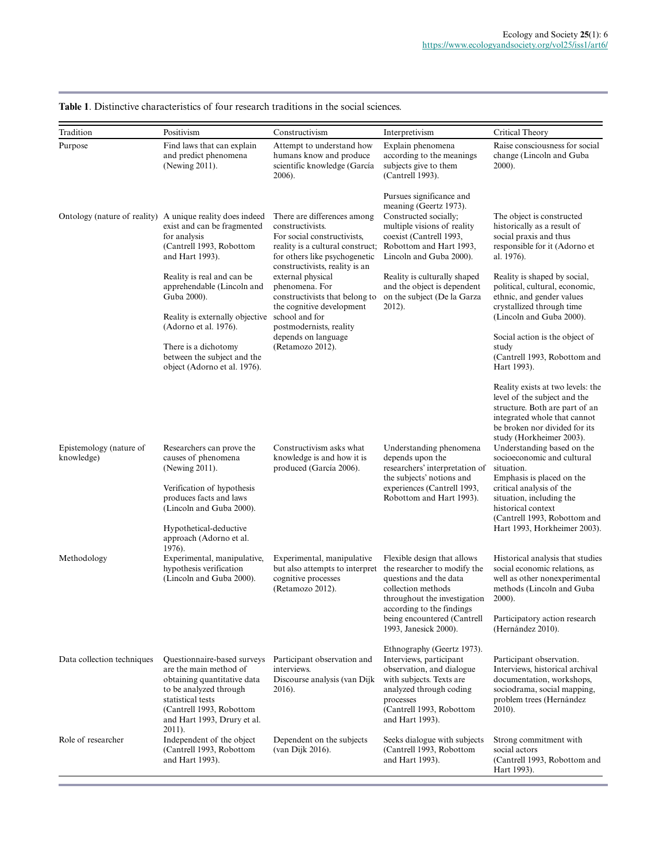| Tradition                             | Positivism                                                                                                                                                                                     | Constructivism                                                                                                                                                                                                                                                                                                                                                                      | Interpretivism                                                                                                                                                                                                                   | Critical Theory                                                                                                                                                                                                                                                                                                                                                                                                       |
|---------------------------------------|------------------------------------------------------------------------------------------------------------------------------------------------------------------------------------------------|-------------------------------------------------------------------------------------------------------------------------------------------------------------------------------------------------------------------------------------------------------------------------------------------------------------------------------------------------------------------------------------|----------------------------------------------------------------------------------------------------------------------------------------------------------------------------------------------------------------------------------|-----------------------------------------------------------------------------------------------------------------------------------------------------------------------------------------------------------------------------------------------------------------------------------------------------------------------------------------------------------------------------------------------------------------------|
| Purpose                               | Find laws that can explain<br>and predict phenomena<br>(Newing 2011).                                                                                                                          | Attempt to understand how<br>humans know and produce<br>scientific knowledge (García<br>2006).                                                                                                                                                                                                                                                                                      | Explain phenomena<br>according to the meanings<br>subjects give to them<br>(Cantrell 1993).                                                                                                                                      | Raise consciousness for social<br>change (Lincoln and Guba<br>$2000$ ).                                                                                                                                                                                                                                                                                                                                               |
|                                       | Ontology (nature of reality) A unique reality does indeed<br>exist and can be fragmented<br>for analysis<br>(Cantrell 1993, Robottom<br>and Hart 1993).                                        | There are differences among<br>constructivists.<br>For social constructivists.<br>reality is a cultural construct;<br>for others like psychogenetic<br>constructivists, reality is an<br>external physical<br>phenomena. For<br>constructivists that belong to<br>the cognitive development<br>school and for<br>postmodernists, reality<br>depends on language<br>(Retamozo 2012). | Pursues significance and<br>meaning (Geertz 1973).<br>Constructed socially;<br>multiple visions of reality<br>coexist (Cantrell 1993,<br>Robottom and Hart 1993,<br>Lincoln and Guba 2000).                                      | The object is constructed<br>historically as a result of<br>social praxis and thus<br>responsible for it (Adorno et<br>al. 1976).                                                                                                                                                                                                                                                                                     |
|                                       | Reality is real and can be<br>apprehendable (Lincoln and<br>Guba 2000).<br>Reality is externally objective                                                                                     |                                                                                                                                                                                                                                                                                                                                                                                     | Reality is culturally shaped<br>and the object is dependent<br>on the subject (De la Garza<br>2012).                                                                                                                             | Reality is shaped by social,<br>political, cultural, economic,<br>ethnic, and gender values<br>crystallized through time<br>(Lincoln and Guba 2000).                                                                                                                                                                                                                                                                  |
|                                       | (Adorno et al. 1976).<br>There is a dichotomy<br>between the subject and the<br>object (Adorno et al. 1976).                                                                                   |                                                                                                                                                                                                                                                                                                                                                                                     |                                                                                                                                                                                                                                  | Social action is the object of<br>study<br>(Cantrell 1993, Robottom and<br>Hart 1993).                                                                                                                                                                                                                                                                                                                                |
| Epistemology (nature of<br>knowledge) | Researchers can prove the<br>causes of phenomena<br>(Newing 2011).<br>Verification of hypothesis<br>produces facts and laws<br>(Lincoln and Guba 2000).                                        | Constructivism asks what<br>knowledge is and how it is<br>produced (García 2006).                                                                                                                                                                                                                                                                                                   | Understanding phenomena<br>depends upon the<br>researchers' interpretation of<br>the subjects' notions and<br>experiences (Cantrell 1993,<br>Robottom and Hart 1993).                                                            | Reality exists at two levels: the<br>level of the subject and the<br>structure. Both are part of an<br>integrated whole that cannot<br>be broken nor divided for its<br>study (Horkheimer 2003).<br>Understanding based on the<br>socioeconomic and cultural<br>situation.<br>Emphasis is placed on the<br>critical analysis of the<br>situation, including the<br>historical context<br>(Cantrell 1993, Robottom and |
| Methodology                           | Hypothetical-deductive<br>approach (Adorno et al.<br>1976).<br>Experimental, manipulative,<br>hypothesis verification<br>(Lincoln and Guba 2000).                                              | Experimental, manipulative<br>but also attempts to interpret<br>cognitive processes<br>(Retamozo 2012).                                                                                                                                                                                                                                                                             | Flexible design that allows<br>the researcher to modify the<br>questions and the data<br>collection methods<br>throughout the investigation<br>according to the findings<br>being encountered (Cantrell<br>1993, Janesick 2000). | Hart 1993, Horkheimer 2003).<br>Historical analysis that studies<br>social economic relations, as<br>well as other nonexperimental<br>methods (Lincoln and Guba<br>2000).<br>Participatory action research<br>(Hernández 2010).                                                                                                                                                                                       |
| Data collection techniques            | Questionnaire-based surveys<br>are the main method of<br>obtaining quantitative data<br>to be analyzed through<br>statistical tests<br>(Cantrell 1993, Robottom<br>and Hart 1993, Drury et al. | Participant observation and<br>interviews.<br>Discourse analysis (van Dijk<br>2016).                                                                                                                                                                                                                                                                                                | Ethnography (Geertz 1973).<br>Interviews, participant<br>observation, and dialogue<br>with subjects. Texts are<br>analyzed through coding<br>processes<br>(Cantrell 1993, Robottom<br>and Hart 1993).                            | Participant observation.<br>Interviews, historical archival<br>documentation, workshops,<br>sociodrama, social mapping,<br>problem trees (Hernández<br>$2010$ ).                                                                                                                                                                                                                                                      |
| Role of researcher                    | $2011$ ).<br>Independent of the object<br>(Cantrell 1993, Robottom<br>and Hart 1993).                                                                                                          | Dependent on the subjects<br>(van Dijk 2016).                                                                                                                                                                                                                                                                                                                                       | Seeks dialogue with subjects<br>(Cantrell 1993, Robottom<br>and Hart 1993).                                                                                                                                                      | Strong commitment with<br>social actors<br>(Cantrell 1993, Robottom and<br>Hart 1993).                                                                                                                                                                                                                                                                                                                                |

**Table 1**. Distinctive characteristics of four research traditions in the social sciences.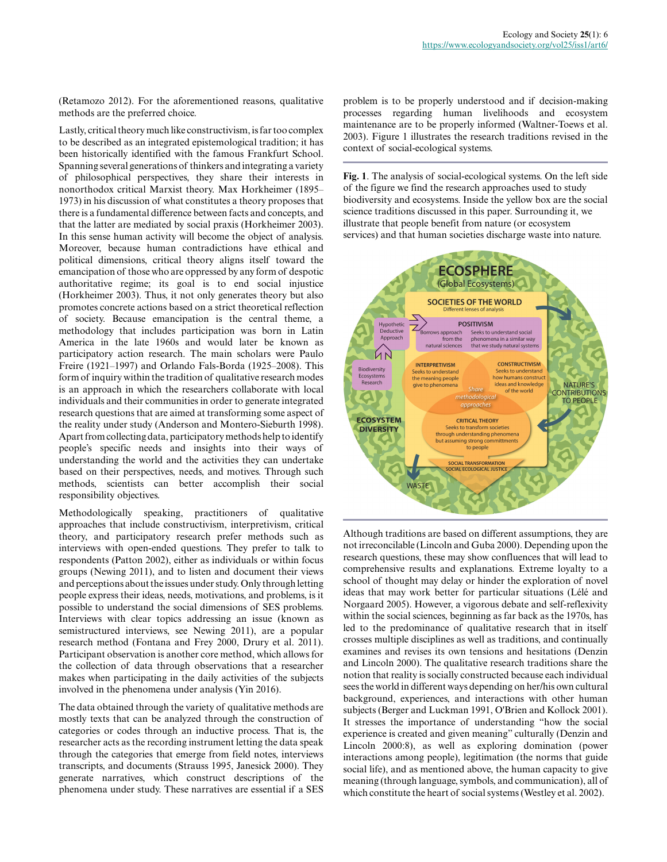(Retamozo 2012). For the aforementioned reasons, qualitative methods are the preferred choice.

Lastly, critical theory much like constructivism, is far too complex to be described as an integrated epistemological tradition; it has been historically identified with the famous Frankfurt School. Spanning several generations of thinkers and integrating a variety of philosophical perspectives, they share their interests in nonorthodox critical Marxist theory. Max Horkheimer (1895– 1973) in his discussion of what constitutes a theory proposes that there is a fundamental difference between facts and concepts, and that the latter are mediated by social praxis (Horkheimer 2003). In this sense human activity will become the object of analysis. Moreover, because human contradictions have ethical and political dimensions, critical theory aligns itself toward the emancipation of those who are oppressed by any form of despotic authoritative regime; its goal is to end social injustice (Horkheimer 2003). Thus, it not only generates theory but also promotes concrete actions based on a strict theoretical reflection of society. Because emancipation is the central theme, a methodology that includes participation was born in Latin America in the late 1960s and would later be known as participatory action research. The main scholars were Paulo Freire (1921–1997) and Orlando Fals-Borda (1925–2008). This form of inquiry within the tradition of qualitative research modes is an approach in which the researchers collaborate with local individuals and their communities in order to generate integrated research questions that are aimed at transforming some aspect of the reality under study (Anderson and Montero-Sieburth 1998). Apart from collecting data, participatory methods help to identify people's specific needs and insights into their ways of understanding the world and the activities they can undertake based on their perspectives, needs, and motives. Through such methods, scientists can better accomplish their social responsibility objectives.

Methodologically speaking, practitioners of qualitative approaches that include constructivism, interpretivism, critical theory, and participatory research prefer methods such as interviews with open-ended questions. They prefer to talk to respondents (Patton 2002), either as individuals or within focus groups (Newing 2011), and to listen and document their views and perceptions about the issues under study. Only through letting people express their ideas, needs, motivations, and problems, is it possible to understand the social dimensions of SES problems. Interviews with clear topics addressing an issue (known as semistructured interviews, see Newing 2011), are a popular research method (Fontana and Frey 2000, Drury et al. 2011). Participant observation is another core method, which allows for the collection of data through observations that a researcher makes when participating in the daily activities of the subjects involved in the phenomena under analysis (Yin 2016).

The data obtained through the variety of qualitative methods are mostly texts that can be analyzed through the construction of categories or codes through an inductive process. That is, the researcher acts as the recording instrument letting the data speak through the categories that emerge from field notes, interviews transcripts, and documents (Strauss 1995, Janesick 2000). They generate narratives, which construct descriptions of the phenomena under study. These narratives are essential if a SES problem is to be properly understood and if decision-making processes regarding human livelihoods and ecosystem maintenance are to be properly informed (Waltner-Toews et al. 2003). Figure 1 illustrates the research traditions revised in the context of social-ecological systems.

**Fig. 1**. The analysis of social-ecological systems. On the left side of the figure we find the research approaches used to study biodiversity and ecosystems. Inside the yellow box are the social science traditions discussed in this paper. Surrounding it, we illustrate that people benefit from nature (or ecosystem services) and that human societies discharge waste into nature.



Although traditions are based on different assumptions, they are not irreconcilable (Lincoln and Guba 2000). Depending upon the research questions, these may show confluences that will lead to comprehensive results and explanations. Extreme loyalty to a school of thought may delay or hinder the exploration of novel ideas that may work better for particular situations (Lélé and Norgaard 2005). However, a vigorous debate and self-reflexivity within the social sciences, beginning as far back as the 1970s, has led to the predominance of qualitative research that in itself crosses multiple disciplines as well as traditions, and continually examines and revises its own tensions and hesitations (Denzin and Lincoln 2000). The qualitative research traditions share the notion that reality is socially constructed because each individual sees the world in different ways depending on her/his own cultural background, experiences, and interactions with other human subjects (Berger and Luckman 1991, O'Brien and Kollock 2001). It stresses the importance of understanding "how the social experience is created and given meaning" culturally (Denzin and Lincoln 2000:8), as well as exploring domination (power interactions among people), legitimation (the norms that guide social life), and as mentioned above, the human capacity to give meaning (through language, symbols, and communication), all of which constitute the heart of social systems (Westley et al. 2002).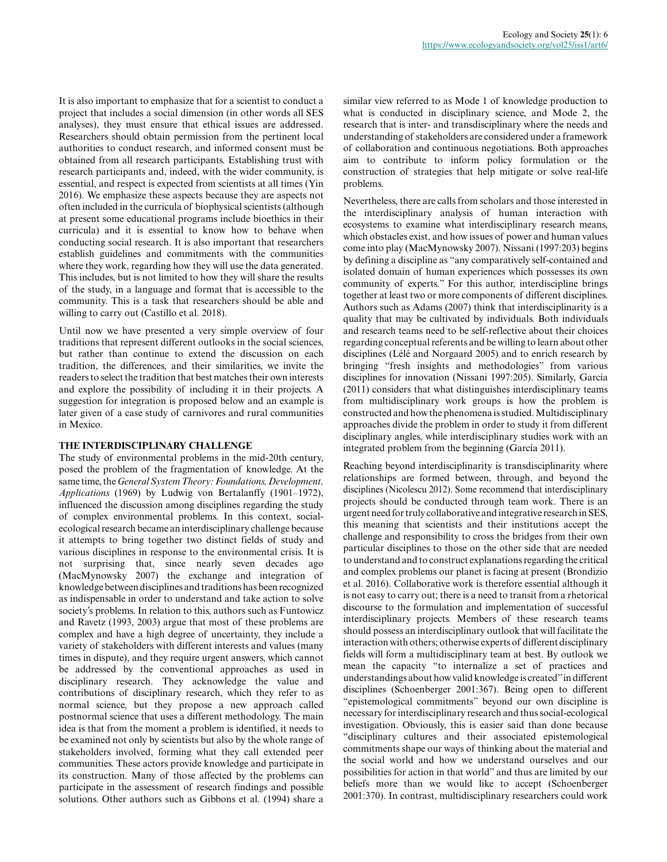It is also important to emphasize that for a scientist to conduct a project that includes a social dimension (in other words all SES analyses), they must ensure that ethical issues are addressed. Researchers should obtain permission from the pertinent local authorities to conduct research, and informed consent must be obtained from all research participants. Establishing trust with research participants and, indeed, with the wider community, is essential, and respect is expected from scientists at all times (Yin 2016). We emphasize these aspects because they are aspects not often included in the curricula of biophysical scientists (although at present some educational programs include bioethics in their curricula) and it is essential to know how to behave when conducting social research. It is also important that researchers establish guidelines and commitments with the communities where they work, regarding how they will use the data generated. This includes, but is not limited to how they will share the results of the study, in a language and format that is accessible to the community. This is a task that researchers should be able and willing to carry out (Castillo et al. 2018).

Until now we have presented a very simple overview of four traditions that represent different outlooks in the social sciences, but rather than continue to extend the discussion on each tradition, the differences, and their similarities, we invite the readers to select the tradition that best matches their own interests and explore the possibility of including it in their projects. A suggestion for integration is proposed below and an example is later given of a case study of carnivores and rural communities in Mexico.

## **THE INTERDISCIPLINARY CHALLENGE**

The study of environmental problems in the mid-20th century, posed the problem of the fragmentation of knowledge. At the same time, the *General System Theory: Foundations, Development, Applications* (1969) by Ludwig von Bertalanffy (1901–1972), influenced the discussion among disciplines regarding the study of complex environmental problems. In this context, socialecological research became an interdisciplinary challenge because it attempts to bring together two distinct fields of study and various disciplines in response to the environmental crisis. It is not surprising that, since nearly seven decades ago (MacMynowsky 2007) the exchange and integration of knowledge between disciplines and traditions has been recognized as indispensable in order to understand and take action to solve society's problems. In relation to this, authors such as Funtowicz and Ravetz (1993, 2003) argue that most of these problems are complex and have a high degree of uncertainty, they include a variety of stakeholders with different interests and values (many times in dispute), and they require urgent answers, which cannot be addressed by the conventional approaches as used in disciplinary research. They acknowledge the value and contributions of disciplinary research, which they refer to as normal science, but they propose a new approach called postnormal science that uses a different methodology. The main idea is that from the moment a problem is identified, it needs to be examined not only by scientists but also by the whole range of stakeholders involved, forming what they call extended peer communities. These actors provide knowledge and participate in its construction. Many of those affected by the problems can participate in the assessment of research findings and possible solutions. Other authors such as Gibbons et al. (1994) share a

similar view referred to as Mode 1 of knowledge production to what is conducted in disciplinary science, and Mode 2, the research that is inter- and transdisciplinary where the needs and understanding of stakeholders are considered under a framework of collaboration and continuous negotiations. Both approaches aim to contribute to inform policy formulation or the construction of strategies that help mitigate or solve real-life problems.

Nevertheless, there are calls from scholars and those interested in the interdisciplinary analysis of human interaction with ecosystems to examine what interdisciplinary research means, which obstacles exist, and how issues of power and human values come into play (MacMynowsky 2007). Nissani (1997:203) begins by defining a discipline as "any comparatively self-contained and isolated domain of human experiences which possesses its own community of experts." For this author, interdiscipline brings together at least two or more components of different disciplines. Authors such as Adams (2007) think that interdisciplinarity is a quality that may be cultivated by individuals. Both individuals and research teams need to be self-reflective about their choices regarding conceptual referents and be willing to learn about other disciplines (Lélé and Norgaard 2005) and to enrich research by bringing "fresh insights and methodologies" from various disciplines for innovation (Nissani 1997:205). Similarly, García (2011) considers that what distinguishes interdisciplinary teams from multidisciplinary work groups is how the problem is constructed and how the phenomena is studied. Multidisciplinary approaches divide the problem in order to study it from different disciplinary angles, while interdisciplinary studies work with an integrated problem from the beginning (García 2011).

Reaching beyond interdisciplinarity is transdisciplinarity where relationships are formed between, through, and beyond the disciplines (Nicolescu 2012). Some recommend that interdisciplinary projects should be conducted through team work. There is an urgent need for truly collaborative and integrative research in SES, this meaning that scientists and their institutions accept the challenge and responsibility to cross the bridges from their own particular disciplines to those on the other side that are needed to understand and to construct explanations regarding the critical and complex problems our planet is facing at present (Brondizio et al. 2016). Collaborative work is therefore essential although it is not easy to carry out; there is a need to transit from a rhetorical discourse to the formulation and implementation of successful interdisciplinary projects. Members of these research teams should possess an interdisciplinary outlook that will facilitate the interaction with others; otherwise experts of different disciplinary fields will form a multidisciplinary team at best. By outlook we mean the capacity "to internalize a set of practices and understandings about how valid knowledge is created" in different disciplines (Schoenberger 2001:367). Being open to different "epistemological commitments" beyond our own discipline is necessary for interdisciplinary research and thus social-ecological investigation. Obviously, this is easier said than done because "disciplinary cultures and their associated epistemological commitments shape our ways of thinking about the material and the social world and how we understand ourselves and our possibilities for action in that world" and thus are limited by our beliefs more than we would like to accept (Schoenberger 2001:370). In contrast, multidisciplinary researchers could work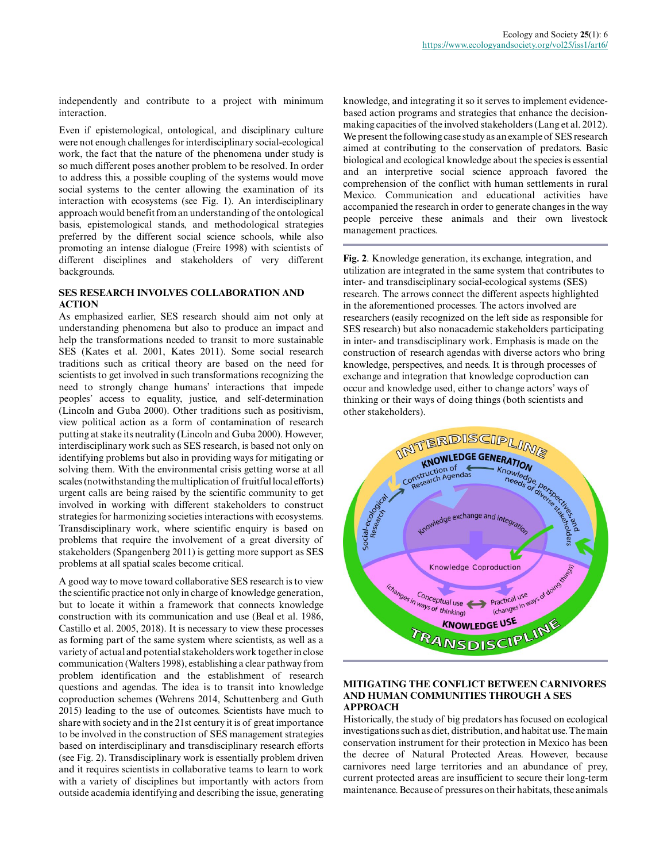independently and contribute to a project with minimum interaction.

Even if epistemological, ontological, and disciplinary culture were not enough challenges for interdisciplinary social-ecological work, the fact that the nature of the phenomena under study is so much different poses another problem to be resolved. In order to address this, a possible coupling of the systems would move social systems to the center allowing the examination of its interaction with ecosystems (see Fig. 1). An interdisciplinary approach would benefit from an understanding of the ontological basis, epistemological stands, and methodological strategies preferred by the different social science schools, while also promoting an intense dialogue (Freire 1998) with scientists of different disciplines and stakeholders of very different backgrounds.

### **SES RESEARCH INVOLVES COLLABORATION AND ACTION**

As emphasized earlier, SES research should aim not only at understanding phenomena but also to produce an impact and help the transformations needed to transit to more sustainable SES (Kates et al. 2001, Kates 2011). Some social research traditions such as critical theory are based on the need for scientists to get involved in such transformations recognizing the need to strongly change humans' interactions that impede peoples' access to equality, justice, and self-determination (Lincoln and Guba 2000). Other traditions such as positivism, view political action as a form of contamination of research putting at stake its neutrality (Lincoln and Guba 2000). However, interdisciplinary work such as SES research, is based not only on identifying problems but also in providing ways for mitigating or solving them. With the environmental crisis getting worse at all scales (notwithstanding the multiplication of fruitful local efforts) urgent calls are being raised by the scientific community to get involved in working with different stakeholders to construct strategies for harmonizing societies interactions with ecosystems. Transdisciplinary work, where scientific enquiry is based on problems that require the involvement of a great diversity of stakeholders (Spangenberg 2011) is getting more support as SES problems at all spatial scales become critical.

A good way to move toward collaborative SES research is to view the scientific practice not only in charge of knowledge generation, but to locate it within a framework that connects knowledge construction with its communication and use (Beal et al. 1986, Castillo et al. 2005, 2018). It is necessary to view these processes as forming part of the same system where scientists, as well as a variety of actual and potential stakeholders work together in close communication (Walters 1998), establishing a clear pathway from problem identification and the establishment of research questions and agendas. The idea is to transit into knowledge coproduction schemes (Wehrens 2014, Schuttenberg and Guth 2015) leading to the use of outcomes. Scientists have much to share with society and in the 21st century it is of great importance to be involved in the construction of SES management strategies based on interdisciplinary and transdisciplinary research efforts (see Fig. 2). Transdisciplinary work is essentially problem driven and it requires scientists in collaborative teams to learn to work with a variety of disciplines but importantly with actors from outside academia identifying and describing the issue, generating

knowledge, and integrating it so it serves to implement evidencebased action programs and strategies that enhance the decisionmaking capacities of the involved stakeholders (Lang et al. 2012). We present the following case study as an example of SES research aimed at contributing to the conservation of predators. Basic biological and ecological knowledge about the species is essential and an interpretive social science approach favored the comprehension of the conflict with human settlements in rural Mexico. Communication and educational activities have accompanied the research in order to generate changes in the way people perceive these animals and their own livestock management practices.

**Fig. 2**. Knowledge generation, its exchange, integration, and utilization are integrated in the same system that contributes to inter- and transdisciplinary social-ecological systems (SES) research. The arrows connect the different aspects highlighted in the aforementioned processes. The actors involved are researchers (easily recognized on the left side as responsible for SES research) but also nonacademic stakeholders participating in inter- and transdisciplinary work. Emphasis is made on the construction of research agendas with diverse actors who bring knowledge, perspectives, and needs. It is through processes of exchange and integration that knowledge coproduction can occur and knowledge used, either to change actors' ways of thinking or their ways of doing things (both scientists and other stakeholders).



## **MITIGATING THE CONFLICT BETWEEN CARNIVORES AND HUMAN COMMUNITIES THROUGH A SES APPROACH**

Historically, the study of big predators has focused on ecological investigations such as diet, distribution, and habitat use. The main conservation instrument for their protection in Mexico has been the decree of Natural Protected Areas. However, because carnivores need large territories and an abundance of prey, current protected areas are insufficient to secure their long-term maintenance. Because of pressures on their habitats, these animals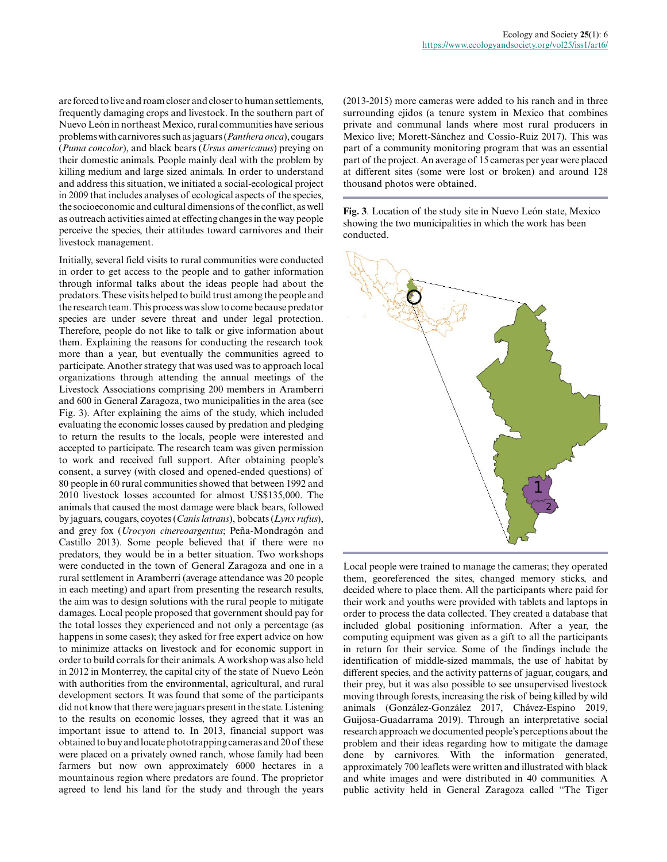are forced to live and roam closer and closer to human settlements, frequently damaging crops and livestock. In the southern part of Nuevo León in northeast Mexico, rural communities have serious problems with carnivores such as jaguars (*Panthera onca*), cougars (*Puma concolor*), and black bears (*Ursus americanus*) preying on their domestic animals. People mainly deal with the problem by killing medium and large sized animals. In order to understand and address this situation, we initiated a social-ecological project in 2009 that includes analyses of ecological aspects of the species, the socioeconomic and cultural dimensions of the conflict, as well as outreach activities aimed at effecting changes in the way people perceive the species, their attitudes toward carnivores and their livestock management.

Initially, several field visits to rural communities were conducted in order to get access to the people and to gather information through informal talks about the ideas people had about the predators. These visits helped to build trust among the people and the research team. This process was slow to come because predator species are under severe threat and under legal protection. Therefore, people do not like to talk or give information about them. Explaining the reasons for conducting the research took more than a year, but eventually the communities agreed to participate. Another strategy that was used was to approach local organizations through attending the annual meetings of the Livestock Associations comprising 200 members in Aramberri and 600 in General Zaragoza, two municipalities in the area (see Fig. 3). After explaining the aims of the study, which included evaluating the economic losses caused by predation and pledging to return the results to the locals, people were interested and accepted to participate. The research team was given permission to work and received full support. After obtaining people's consent, a survey (with closed and opened-ended questions) of 80 people in 60 rural communities showed that between 1992 and 2010 livestock losses accounted for almost US\$135,000. The animals that caused the most damage were black bears, followed by jaguars, cougars, coyotes (*Canis latrans*), bobcats (*Lynx rufus*), and grey fox (*Urocyon cinereoargentus*; Peña-Mondragón and Castillo 2013). Some people believed that if there were no predators, they would be in a better situation. Two workshops were conducted in the town of General Zaragoza and one in a rural settlement in Aramberri (average attendance was 20 people in each meeting) and apart from presenting the research results, the aim was to design solutions with the rural people to mitigate damages. Local people proposed that government should pay for the total losses they experienced and not only a percentage (as happens in some cases); they asked for free expert advice on how to minimize attacks on livestock and for economic support in order to build corrals for their animals. A workshop was also held in 2012 in Monterrey, the capital city of the state of Nuevo León with authorities from the environmental, agricultural, and rural development sectors. It was found that some of the participants did not know that there were jaguars present in the state. Listening to the results on economic losses, they agreed that it was an important issue to attend to. In 2013, financial support was obtained to buy and locate phototrapping cameras and 20 of these were placed on a privately owned ranch, whose family had been farmers but now own approximately 6000 hectares in a mountainous region where predators are found. The proprietor agreed to lend his land for the study and through the years

(2013-2015) more cameras were added to his ranch and in three surrounding ejidos (a tenure system in Mexico that combines private and communal lands where most rural producers in Mexico live; Morett-Sánchez and Cossío-Ruiz 2017). This was part of a community monitoring program that was an essential part of the project. An average of 15 cameras per year were placed at different sites (some were lost or broken) and around 128 thousand photos were obtained.

**Fig. 3**. Location of the study site in Nuevo León state, Mexico showing the two municipalities in which the work has been conducted.



Local people were trained to manage the cameras; they operated them, georeferenced the sites, changed memory sticks, and decided where to place them. All the participants where paid for their work and youths were provided with tablets and laptops in order to process the data collected. They created a database that included global positioning information. After a year, the computing equipment was given as a gift to all the participants in return for their service. Some of the findings include the identification of middle-sized mammals, the use of habitat by different species, and the activity patterns of jaguar, cougars, and their prey, but it was also possible to see unsupervised livestock moving through forests, increasing the risk of being killed by wild animals (González-González 2017, Chávez-Espino 2019, Guijosa-Guadarrama 2019). Through an interpretative social research approach we documented people's perceptions about the problem and their ideas regarding how to mitigate the damage done by carnivores. With the information generated, approximately 700 leaflets were written and illustrated with black and white images and were distributed in 40 communities. A public activity held in General Zaragoza called "The Tiger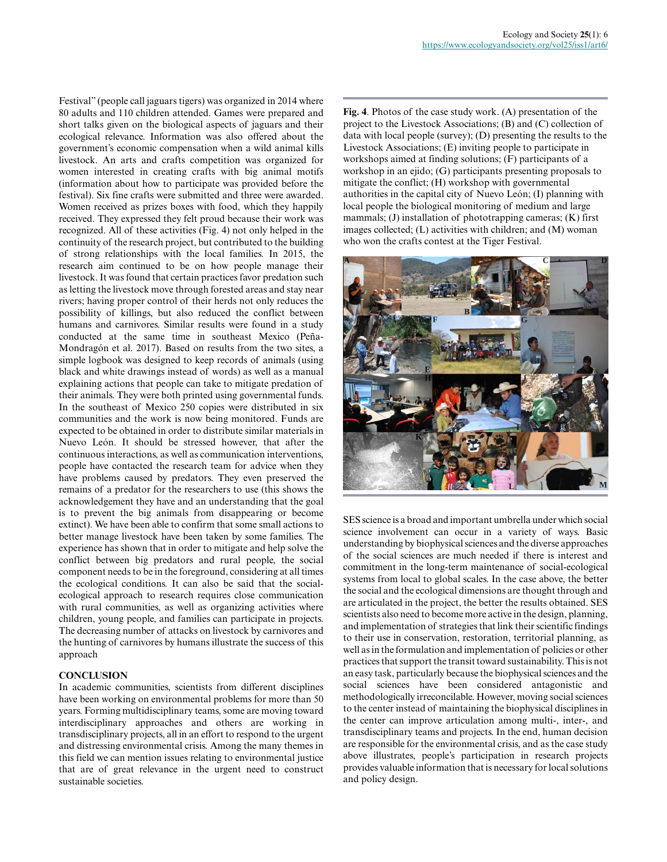Festival" (people call jaguars tigers) was organized in 2014 where 80 adults and 110 children attended. Games were prepared and short talks given on the biological aspects of jaguars and their ecological relevance. Information was also offered about the government's economic compensation when a wild animal kills livestock. An arts and crafts competition was organized for women interested in creating crafts with big animal motifs (information about how to participate was provided before the festival). Six fine crafts were submitted and three were awarded. Women received as prizes boxes with food, which they happily received. They expressed they felt proud because their work was recognized. All of these activities (Fig. 4) not only helped in the continuity of the research project, but contributed to the building of strong relationships with the local families. In 2015, the research aim continued to be on how people manage their livestock. It was found that certain practices favor predation such as letting the livestock move through forested areas and stay near rivers; having proper control of their herds not only reduces the possibility of killings, but also reduced the conflict between humans and carnivores. Similar results were found in a study conducted at the same time in southeast Mexico (Peña-Mondragón et al. 2017). Based on results from the two sites, a simple logbook was designed to keep records of animals (using black and white drawings instead of words) as well as a manual explaining actions that people can take to mitigate predation of their animals. They were both printed using governmental funds. In the southeast of Mexico 250 copies were distributed in six communities and the work is now being monitored. Funds are expected to be obtained in order to distribute similar materials in Nuevo León. It should be stressed however, that after the continuous interactions, as well as communication interventions, people have contacted the research team for advice when they have problems caused by predators. They even preserved the remains of a predator for the researchers to use (this shows the acknowledgement they have and an understanding that the goal is to prevent the big animals from disappearing or become extinct). We have been able to confirm that some small actions to better manage livestock have been taken by some families. The experience has shown that in order to mitigate and help solve the conflict between big predators and rural people, the social component needs to be in the foreground, considering at all times the ecological conditions. It can also be said that the socialecological approach to research requires close communication with rural communities, as well as organizing activities where children, young people, and families can participate in projects. The decreasing number of attacks on livestock by carnivores and the hunting of carnivores by humans illustrate the success of this approach

## **CONCLUSION**

In academic communities, scientists from different disciplines have been working on environmental problems for more than 50 years. Forming multidisciplinary teams, some are moving toward interdisciplinary approaches and others are working in transdisciplinary projects, all in an effort to respond to the urgent and distressing environmental crisis. Among the many themes in this field we can mention issues relating to environmental justice that are of great relevance in the urgent need to construct sustainable societies.

**Fig. 4**. Photos of the case study work. (A) presentation of the project to the Livestock Associations; (B) and (C) collection of data with local people (survey); (D) presenting the results to the Livestock Associations; (E) inviting people to participate in workshops aimed at finding solutions; (F) participants of a workshop in an ejido; (G) participants presenting proposals to mitigate the conflict; (H) workshop with governmental authorities in the capital city of Nuevo León; (I) planning with local people the biological monitoring of medium and large mammals; (J) installation of phototrapping cameras; (K) first images collected; (L) activities with children; and (M) woman who won the crafts contest at the Tiger Festival.



SES science is a broad and important umbrella under which social science involvement can occur in a variety of ways. Basic understanding by biophysical sciences and the diverse approaches of the social sciences are much needed if there is interest and commitment in the long-term maintenance of social-ecological systems from local to global scales. In the case above, the better the social and the ecological dimensions are thought through and are articulated in the project, the better the results obtained. SES scientists also need to become more active in the design, planning, and implementation of strategies that link their scientific findings to their use in conservation, restoration, territorial planning, as well as in the formulation and implementation of policies or other practices that support the transit toward sustainability. This is not an easy task, particularly because the biophysical sciences and the social sciences have been considered antagonistic and methodologically irreconcilable. However, moving social sciences to the center instead of maintaining the biophysical disciplines in the center can improve articulation among multi-, inter-, and transdisciplinary teams and projects. In the end, human decision are responsible for the environmental crisis, and as the case study above illustrates, people's participation in research projects provides valuable information that is necessary for local solutions and policy design.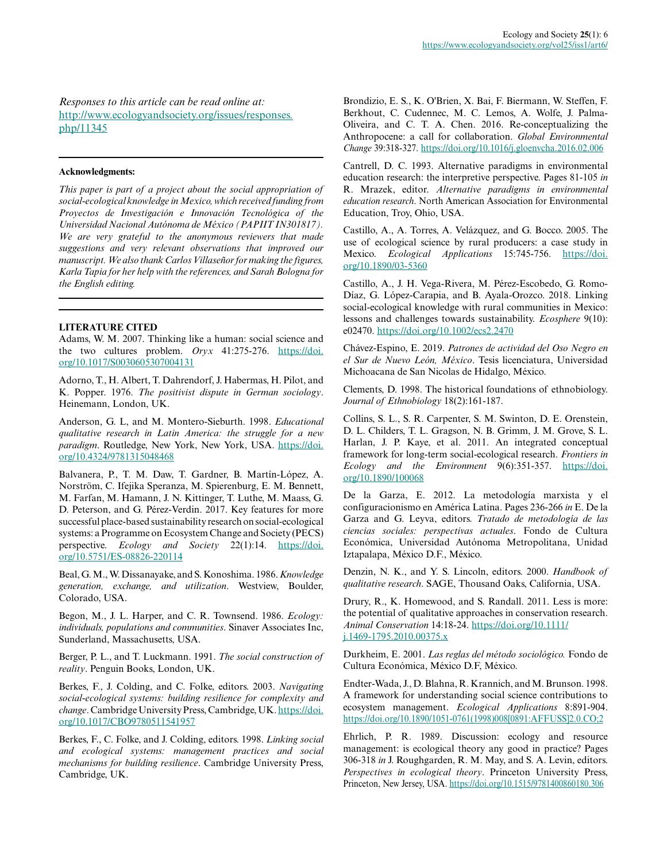*Responses to this article can be read online at:* [http://www.ecologyandsociety.org/issues/responses.](http://www.ecologyandsociety.org/issues/responses.php/11345) [php/11345](http://www.ecologyandsociety.org/issues/responses.php/11345)

#### **Acknowledgments:**

*This paper is part of a project about the social appropriation of social-ecological knowledge in Mexico, which received funding from Proyectos de Investigación e Innovación Tecnológica of the Universidad Nacional Autónoma de México (PAPIIT IN301817). We are very grateful to the anonymous reviewers that made suggestions and very relevant observations that improved our manuscript. We also thank Carlos Villaseñor for making the figures, Karla Tapia for her help with the references, and Sarah Bologna for the English editing.*

#### **LITERATURE CITED**

Adams, W. M. 2007. Thinking like a human: social science and the two cultures problem. *Oryx* 41:275-276. [https://doi.](https://doi.org/10.1017/S0030605307004131) [org/10.1017/S0030605307004131](https://doi.org/10.1017/S0030605307004131)

Adorno, T., H. Albert, T. Dahrendorf, J. Habermas, H. Pilot, and K. Popper. 1976. *The positivist dispute in German sociology*. Heinemann, London, UK.

Anderson, G. L, and M. Montero-Sieburth. 1998. *Educational qualitative research in Latin America: the struggle for a new paradigm*. Routledge, New York, New York, USA. [https://doi.](https://doi.org/10.4324/9781315048468) [org/10.4324/9781315048468](https://doi.org/10.4324/9781315048468) 

Balvanera, P., T. M. Daw, T. Gardner, B. Martín-López, A. Norström, C. Ifejika Speranza, M. Spierenburg, E. M. Bennett, M. Farfan, M. Hamann, J. N. Kittinger, T. Luthe, M. Maass, G. D. Peterson, and G. Pérez-Verdin. 2017. Key features for more successful place-based sustainability research on social-ecological systems: a Programme on Ecosystem Change and Society (PECS) perspective. *Ecology and Society* 22(1):14. [https://doi.](https://doi.org/10.5751/ES-08826-220114) [org/10.5751/ES-08826-220114](https://doi.org/10.5751/ES-08826-220114) 

Beal, G. M., W. Dissanayake, and S. Konoshima. 1986. *Knowledge generation, exchange, and utilization*. Westview, Boulder, Colorado, USA.

Begon, M., J. L. Harper, and C. R. Townsend. 1986. *Ecology: individuals, populations and communities*. Sinaver Associates Inc, Sunderland, Massachusetts, USA.

Berger, P. L., and T. Luckmann. 1991. *The social construction of reality*. Penguin Books, London, UK.

Berkes, F., J. Colding, and C. Folke, editors. 2003. *Navigating social-ecological systems: building resilience for complexity and change*. Cambridge University Press, Cambridge, UK. [https://doi.](https://doi.org/10.1017/CBO9780511541957) [org/10.1017/CBO9780511541957](https://doi.org/10.1017/CBO9780511541957)

Berkes, F., C. Folke, and J. Colding, editors. 1998. *Linking social and ecological systems: management practices and social mechanisms for building resilience*. Cambridge University Press, Cambridge, UK.

Brondizio, E. S., K. O'Brien, X. Bai, F. Biermann, W. Steffen, F. Berkhout, C. Cudennec, M. C. Lemos, A. Wolfe, J. Palma-Oliveira, and C. T. A. Chen. 2016. Re-conceptualizing the Anthropocene: a call for collaboration. *Global Environmental Change* 39:318-327.<https://doi.org/10.1016/j.gloenvcha.2016.02.006>

Cantrell, D. C. 1993. Alternative paradigms in environmental education research: the interpretive perspective. Pages 81-105 *in* R. Mrazek, editor. *Alternative paradigms in environmental education research*. North American Association for Environmental Education, Troy, Ohio, USA.

Castillo, A., A. Torres, A. Velázquez, and G. Bocco. 2005. The use of ecological science by rural producers: a case study in Mexico. *Ecological Applications* 15:745-756. [https://doi.](https://doi.org/10.1890/03-5360) [org/10.1890/03-5360](https://doi.org/10.1890/03-5360)

Castillo, A., J. H. Vega-Rivera, M. Pérez-Escobedo, G. Romo-Díaz, G. López-Carapia, and B. Ayala-Orozco. 2018. Linking social-ecological knowledge with rural communities in Mexico: lessons and challenges towards sustainability. *Ecosphere* 9(10): e02470.<https://doi.org/10.1002/ecs2.2470>

Chávez-Espino, E. 2019. *Patrones de actividad del Oso Negro en el Sur de Nuevo León, México*. Tesis licenciatura, Universidad Michoacana de San Nicolas de Hidalgo, México.

Clements, D. 1998. The historical foundations of ethnobiology. *Journal of Ethnobiology* 18(2):161-187.

Collins, S. L., S. R. Carpenter, S. M. Swinton, D. E. Orenstein, D. L. Childers, T. L. Gragson, N. B. Grimm, J. M. Grove, S. L. Harlan, J. P. Kaye, et al. 2011. An integrated conceptual framework for long-term social-ecological research. *Frontiers in Ecology and the Environment* 9(6):351-357. [https://doi.](https://doi.org/10.1890/100068) [org/10.1890/100068](https://doi.org/10.1890/100068)

De la Garza, E. 2012. La metodología marxista y el configuracionismo en América Latina. Pages 236-266 *in* E. De la Garza and G. Leyva, editors. *Tratado de metodología de las ciencias sociales: perspectivas actuales*. Fondo de Cultura Económica, Universidad Autónoma Metropolitana, Unidad Iztapalapa, México D.F., México.

Denzin, N. K., and Y. S. Lincoln, editors. 2000. *Handbook of qualitative research*. SAGE, Thousand Oaks, California, USA.

Drury, R., K. Homewood, and S. Randall. 2011. Less is more: the potential of qualitative approaches in conservation research. *Animal Conservation* 14:18-24. [https://doi.org/10.1111/](https://doi.org/10.1111/j.1469-1795.2010.00375.x) [j.1469-1795.2010.00375.x](https://doi.org/10.1111/j.1469-1795.2010.00375.x)

Durkheim, E. 2001. *Las reglas del método sociológico.* Fondo de Cultura Económica, México D.F, México.

Endter-Wada, J., D. Blahna, R. Krannich, and M. Brunson. 1998. A framework for understanding social science contributions to ecosystem management. *Ecological Applications* 8:891-904. [https://doi.org/10.1890/1051-0761\(1998\)008\[0891:AFFUSS\]2.0.CO;2](https://doi.org/10.1890/1051-0761(1998)008[0891:AFFUSS]2.0.CO;2) 

Ehrlich, P. R. 1989. Discussion: ecology and resource management: is ecological theory any good in practice? Pages 306-318 *in* J. Roughgarden, R. M. May, and S. A. Levin, editors. *Perspectives in ecological theory*. Princeton University Press, Princeton, New Jersey, USA. <https://doi.org/10.1515/9781400860180.306>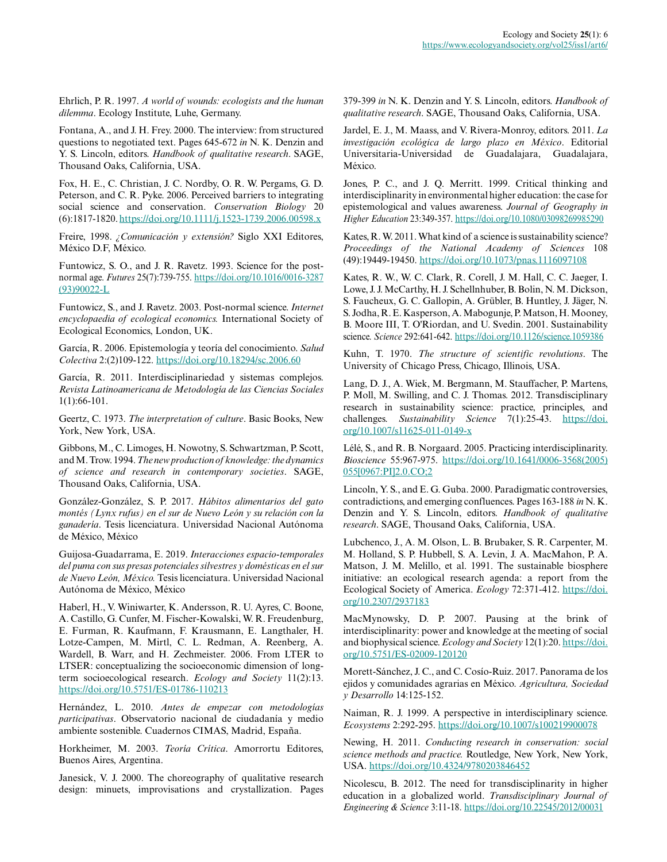Ehrlich, P. R. 1997. *A world of wounds: ecologists and the human dilemma*. Ecology Institute, Luhe, Germany.

Fontana, A., and J. H. Frey. 2000. The interview: from structured questions to negotiated text. Pages 645-672 *in* N. K. Denzin and Y. S. Lincoln, editors. *Handbook of qualitative research*. SAGE, Thousand Oaks, California, USA.

Fox, H. E., C. Christian, J. C. Nordby, O. R. W. Pergams, G. D. Peterson, and C. R. Pyke. 2006. Perceived barriers to integrating social science and conservation. *Conservation Biology* 20 (6):1817-1820.<https://doi.org/10.1111/j.1523-1739.2006.00598.x>

Freire, 1998. *¿Comunicación y extensión?* Siglo XXI Editores, México D.F, México.

Funtowicz, S. O., and J. R. Ravetz. 1993. Science for the postnormal age. *Futures* 25(7):739-755. [https://doi.org/10.1016/0016-3287](https://doi.org/10.1016/0016-3287(93)90022-L) [\(93\)90022-L](https://doi.org/10.1016/0016-3287(93)90022-L)

Funtowicz, S., and J. Ravetz. 2003. Post-normal science. *Internet encyclopaedia of ecological economics.* International Society of Ecological Economics, London, UK.

García, R. 2006. Epistemología y teoría del conocimiento. *Salud Colectiva* 2:(2)109-122.<https://doi.org/10.18294/sc.2006.60>

García, R. 2011. Interdisciplinariedad y sistemas complejos. *Revista Latinoamericana de Metodología de las Ciencias Sociales* 1(1):66-101.

Geertz, C. 1973. *The interpretation of culture*. Basic Books, New York, New York, USA.

Gibbons, M., C. Limoges, H. Nowotny, S. Schwartzman, P. Scott, and M. Trow. 1994. *The new production of knowledge: the dynamics of science and research in contemporary societies*. SAGE, Thousand Oaks, California, USA.

González-González, S. P. 2017. *Hábitos alimentarios del gato montés (Lynx rufus) en el sur de Nuevo León y su relación con la ganadería*. Tesis licenciatura. Universidad Nacional Autónoma de México, México

Guijosa-Guadarrama, E. 2019. *Interacciones espacio-temporales del puma con sus presas potenciales silvestres y domésticas en el sur de Nuevo León, México.* Tesis licenciatura. Universidad Nacional Autónoma de México, México

Haberl, H., V. Winiwarter, K. Andersson, R. U. Ayres, C. Boone, A. Castillo, G. Cunfer, M. Fischer-Kowalski, W. R. Freudenburg, E. Furman, R. Kaufmann, F. Krausmann, E. Langthaler, H. Lotze-Campen, M. Mirtl, C. L. Redman, A. Reenberg, A. Wardell, B. Warr, and H. Zechmeister. 2006. From LTER to LTSER: conceptualizing the socioeconomic dimension of longterm socioecological research. *Ecology and Society* 11(2):13. <https://doi.org/10.5751/ES-01786-110213>

Hernández, L. 2010. *Antes de empezar con metodologías participativas*. Observatorio nacional de ciudadanía y medio ambiente sostenible. Cuadernos CIMAS, Madrid, España.

Horkheimer, M. 2003. *Teoría Crítica*. Amorrortu Editores, Buenos Aires, Argentina.

Janesick, V. J. 2000. The choreography of qualitative research design: minuets, improvisations and crystallization. Pages 379-399 *in* N. K. Denzin and Y. S. Lincoln, editors. *Handbook of qualitative research*. SAGE, Thousand Oaks, California, USA.

Jardel, E. J., M. Maass, and V. Rivera-Monroy, editors. 2011. *La investigación ecológica de largo plazo en México*. Editorial Universitaria-Universidad de Guadalajara, Guadalajara, México.

Jones, P. C., and J. Q. Merritt. 1999. Critical thinking and interdisciplinarity in environmental higher education: the case for epistemological and values awareness. *Journal of Geography in Higher Education* 23:349-357. <https://doi.org/10.1080/03098269985290>

Kates, R. W. 2011. What kind of a science is sustainability science? *Proceedings of the National Academy of Sciences* 108 (49):19449-19450.<https://doi.org/10.1073/pnas.1116097108>

Kates, R. W., W. C. Clark, R. Corell, J. M. Hall, C. C. Jaeger, I. Lowe, J. J. McCarthy, H. J. Schellnhuber, B. Bolin, N. M. Dickson, S. Faucheux, G. C. Gallopin, A. Grübler, B. Huntley, J. Jäger, N. S. Jodha, R. E. Kasperson, A. Mabogunje, P. Matson, H. Mooney, B. Moore III, T. O'Riordan, and U. Svedin. 2001. Sustainability science. *Science* 292:641-642.<https://doi.org/10.1126/science.1059386>

Kuhn, T. 1970. *The structure of scientific revolutions*. The University of Chicago Press, Chicago, Illinois, USA.

Lang, D. J., A. Wiek, M. Bergmann, M. Stauffacher, P. Martens, P. Moll, M. Swilling, and C. J. Thomas. 2012. Transdisciplinary research in sustainability science: practice, principles, and challenges. *Sustainability Science* 7(1):25-43. [https://doi.](https://doi.org/10.1007/s11625-011-0149-x) [org/10.1007/s11625-011-0149-x](https://doi.org/10.1007/s11625-011-0149-x)

Lélé, S., and R. B. Norgaard. 2005. Practicing interdisciplinarity. *Bioscience* 55:967-975. [https://doi.org/10.1641/0006-3568\(2005\)](https://doi.org/10.1641/0006-3568(2005)055[0967:PI]2.0.CO;2) [055\[0967:PI\]2.0.CO;2](https://doi.org/10.1641/0006-3568(2005)055[0967:PI]2.0.CO;2) 

Lincoln, Y. S., and E. G. Guba. 2000. Paradigmatic controversies, contradictions, and emerging confluences. Pages 163-188 *in* N. K. Denzin and Y. S. Lincoln, editors. *Handbook of qualitative research*. SAGE, Thousand Oaks, California, USA.

Lubchenco, J., A. M. Olson, L. B. Brubaker, S. R. Carpenter, M. M. Holland, S. P. Hubbell, S. A. Levin, J. A. MacMahon, P. A. Matson, J. M. Melillo, et al. 1991. The sustainable biosphere initiative: an ecological research agenda: a report from the Ecological Society of America. *Ecology* 72:371-412. [https://doi.](https://doi.org/10.2307/2937183) [org/10.2307/2937183](https://doi.org/10.2307/2937183) 

MacMynowsky, D. P. 2007. Pausing at the brink of interdisciplinarity: power and knowledge at the meeting of social and biophysical science. *Ecology and Society* 12(1):20. [https://doi.](https://doi.org/10.5751/ES-02009-120120) [org/10.5751/ES-02009-120120](https://doi.org/10.5751/ES-02009-120120) 

Morett-Sánchez, J. C., and C. Cosío-Ruiz. 2017. Panorama de los ejidos y comunidades agrarias en México. *Agricultura, Sociedad y Desarrollo* 14:125-152.

Naiman, R. J. 1999. A perspective in interdisciplinary science. *Ecosystems* 2:292-295.<https://doi.org/10.1007/s100219900078>

Newing, H. 2011. *Conducting research in conservation: social science methods and practice.* Routledge, New York, New York, USA.<https://doi.org/10.4324/9780203846452>

Nicolescu, B. 2012. The need for transdisciplinarity in higher education in a globalized world. *Transdisciplinary Journal of Engineering & Science* 3:11-18.<https://doi.org/10.22545/2012/00031>